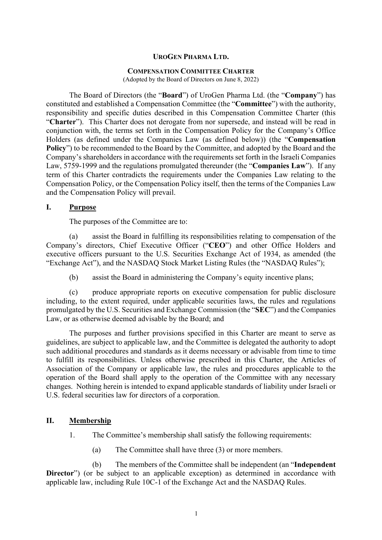### **UROGEN PHARMA LTD.**

#### **COMPENSATION COMMITTEE CHARTER**

(Adopted by the Board of Directors on June 8, 2022)

The Board of Directors (the "**Board**") of UroGen Pharma Ltd. (the "**Company**") has constituted and established a Compensation Committee (the "**Committee**") with the authority, responsibility and specific duties described in this Compensation Committee Charter (this "**Charter**"). This Charter does not derogate from nor supersede, and instead will be read in conjunction with, the terms set forth in the Compensation Policy for the Company's Office Holders (as defined under the Companies Law (as defined below)) (the "**Compensation**  Policy") to be recommended to the Board by the Committee, and adopted by the Board and the Company's shareholders in accordance with the requirements set forth in the Israeli Companies Law, 5759-1999 and the regulations promulgated thereunder (the "**Companies Law**"). If any term of this Charter contradicts the requirements under the Companies Law relating to the Compensation Policy, or the Compensation Policy itself, then the terms of the Companies Law and the Compensation Policy will prevail.

#### **I. Purpose**

The purposes of the Committee are to:

(a) assist the Board in fulfilling its responsibilities relating to compensation of the Company's directors, Chief Executive Officer ("**CEO**") and other Office Holders and executive officers pursuant to the U.S. Securities Exchange Act of 1934, as amended (the "Exchange Act"), and the NASDAQ Stock Market Listing Rules (the "NASDAQ Rules");

(b) assist the Board in administering the Company's equity incentive plans;

(c) produce appropriate reports on executive compensation for public disclosure including, to the extent required, under applicable securities laws, the rules and regulations promulgated by the U.S. Securities and Exchange Commission (the "**SEC**") and the Companies Law, or as otherwise deemed advisable by the Board; and

The purposes and further provisions specified in this Charter are meant to serve as guidelines, are subject to applicable law, and the Committee is delegated the authority to adopt such additional procedures and standards as it deems necessary or advisable from time to time to fulfill its responsibilities. Unless otherwise prescribed in this Charter, the Articles of Association of the Company or applicable law, the rules and procedures applicable to the operation of the Board shall apply to the operation of the Committee with any necessary changes. Nothing herein is intended to expand applicable standards of liability under Israeli or U.S. federal securities law for directors of a corporation.

## **II. Membership**

- 1. The Committee's membership shall satisfy the following requirements:
	- (a) The Committee shall have three (3) or more members.

(b) The members of the Committee shall be independent (an "**Independent Director**") (or be subject to an applicable exception) as determined in accordance with applicable law, including Rule 10C-1 of the Exchange Act and the NASDAQ Rules.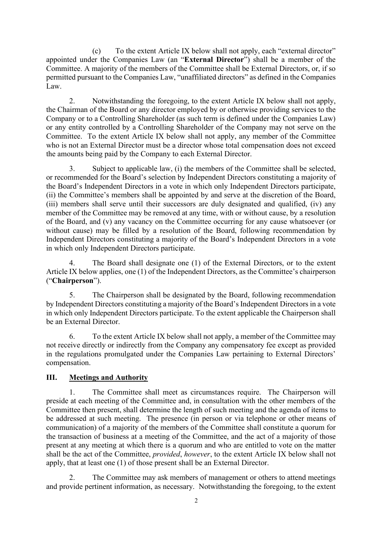(c) To the extent Article [IX](#page-5-0) below shall not apply, each "external director" appointed under the Companies Law (an "**External Director**") shall be a member of the Committee. A majority of the members of the Committee shall be External Directors, or, if so permitted pursuant to the Companies Law, "unaffiliated directors" as defined in the Companies Law.

2. Notwithstanding the foregoing, to the extent Article IX below shall not apply, the Chairman of the Board or any director employed by or otherwise providing services to the Company or to a Controlling Shareholder (as such term is defined under the Companies Law) or any entity controlled by a Controlling Shareholder of the Company may not serve on the Committee. To the extent Article IX below shall not apply, any member of the Committee who is not an External Director must be a director whose total compensation does not exceed the amounts being paid by the Company to each External Director.

3. Subject to applicable law, (i) the members of the Committee shall be selected, or recommended for the Board's selection by Independent Directors constituting a majority of the Board's Independent Directors in a vote in which only Independent Directors participate, (ii) the Committee's members shall be appointed by and serve at the discretion of the Board, (iii) members shall serve until their successors are duly designated and qualified, (iv) any member of the Committee may be removed at any time, with or without cause, by a resolution of the Board, and (v) any vacancy on the Committee occurring for any cause whatsoever (or without cause) may be filled by a resolution of the Board, following recommendation by Independent Directors constituting a majority of the Board's Independent Directors in a vote in which only Independent Directors participate.

4. The Board shall designate one (1) of the External Directors, or to the extent Article [IX](#page-5-0) below applies, one (1) of the Independent Directors, as the Committee's chairperson ("**Chairperson**").

5. The Chairperson shall be designated by the Board, following recommendation by Independent Directors constituting a majority of the Board's Independent Directors in a vote in which only Independent Directors participate. To the extent applicable the Chairperson shall be an External Director.

6. To the extent Article [IX](#page-5-0) below shall not apply, a member of the Committee may not receive directly or indirectly from the Company any compensatory fee except as provided in the regulations promulgated under the Companies Law pertaining to External Directors' compensation.

# **III. Meetings and Authority**

1. The Committee shall meet as circumstances require. The Chairperson will preside at each meeting of the Committee and, in consultation with the other members of the Committee then present, shall determine the length of such meeting and the agenda of items to be addressed at such meeting. The presence (in person or via telephone or other means of communication) of a majority of the members of the Committee shall constitute a quorum for the transaction of business at a meeting of the Committee, and the act of a majority of those present at any meeting at which there is a quorum and who are entitled to vote on the matter shall be the act of the Committee, *provided*, *however*, to the extent Article [IX](#page-5-0) below shall not apply, that at least one (1) of those present shall be an External Director.

2. The Committee may ask members of management or others to attend meetings and provide pertinent information, as necessary. Notwithstanding the foregoing, to the extent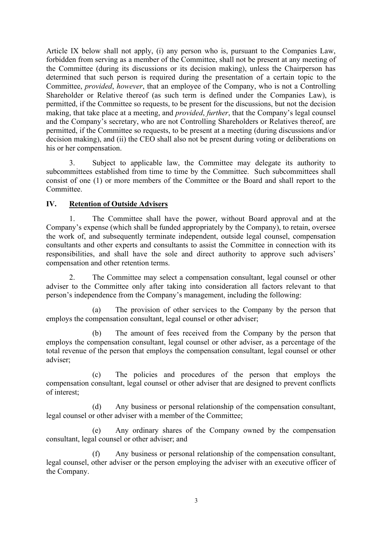Article [IX](#page-5-0) below shall not apply, (i) any person who is, pursuant to the Companies Law, forbidden from serving as a member of the Committee, shall not be present at any meeting of the Committee (during its discussions or its decision making), unless the Chairperson has determined that such person is required during the presentation of a certain topic to the Committee, *provided*, *however*, that an employee of the Company, who is not a Controlling Shareholder or Relative thereof (as such term is defined under the Companies Law), is permitted, if the Committee so requests, to be present for the discussions, but not the decision making, that take place at a meeting, and *provided*, *further*, that the Company's legal counsel and the Company's secretary, who are not Controlling Shareholders or Relatives thereof, are permitted, if the Committee so requests, to be present at a meeting (during discussions and/or decision making), and (ii) the CEO shall also not be present during voting or deliberations on his or her compensation.

3. Subject to applicable law, the Committee may delegate its authority to subcommittees established from time to time by the Committee. Such subcommittees shall consist of one (1) or more members of the Committee or the Board and shall report to the Committee.

### **IV. Retention of Outside Advisers**

1. The Committee shall have the power, without Board approval and at the Company's expense (which shall be funded appropriately by the Company), to retain, oversee the work of, and subsequently terminate independent, outside legal counsel, compensation consultants and other experts and consultants to assist the Committee in connection with its responsibilities, and shall have the sole and direct authority to approve such advisers' compensation and other retention terms.

2. The Committee may select a compensation consultant, legal counsel or other adviser to the Committee only after taking into consideration all factors relevant to that person's independence from the Company's management, including the following:

(a) The provision of other services to the Company by the person that employs the compensation consultant, legal counsel or other adviser;

(b) The amount of fees received from the Company by the person that employs the compensation consultant, legal counsel or other adviser, as a percentage of the total revenue of the person that employs the compensation consultant, legal counsel or other adviser;

(c) The policies and procedures of the person that employs the compensation consultant, legal counsel or other adviser that are designed to prevent conflicts of interest;

(d) Any business or personal relationship of the compensation consultant, legal counsel or other adviser with a member of the Committee;

(e) Any ordinary shares of the Company owned by the compensation consultant, legal counsel or other adviser; and

(f) Any business or personal relationship of the compensation consultant, legal counsel, other adviser or the person employing the adviser with an executive officer of the Company.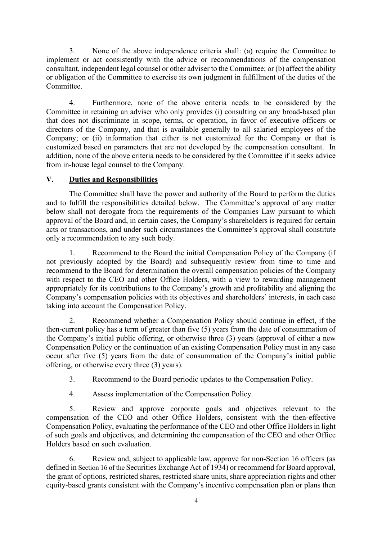3. None of the above independence criteria shall: (a) require the Committee to implement or act consistently with the advice or recommendations of the compensation consultant, independent legal counsel or other adviser to the Committee; or (b) affect the ability or obligation of the Committee to exercise its own judgment in fulfillment of the duties of the Committee.

4. Furthermore, none of the above criteria needs to be considered by the Committee in retaining an adviser who only provides (i) consulting on any broad-based plan that does not discriminate in scope, terms, or operation, in favor of executive officers or directors of the Company, and that is available generally to all salaried employees of the Company; or (ii) information that either is not customized for the Company or that is customized based on parameters that are not developed by the compensation consultant. In addition, none of the above criteria needs to be considered by the Committee if it seeks advice from in-house legal counsel to the Company.

# **V. Duties and Responsibilities**

The Committee shall have the power and authority of the Board to perform the duties and to fulfill the responsibilities detailed below. The Committee's approval of any matter below shall not derogate from the requirements of the Companies Law pursuant to which approval of the Board and, in certain cases, the Company's shareholders is required for certain acts or transactions, and under such circumstances the Committee's approval shall constitute only a recommendation to any such body.

1. Recommend to the Board the initial Compensation Policy of the Company (if not previously adopted by the Board) and subsequently review from time to time and recommend to the Board for determination the overall compensation policies of the Company with respect to the CEO and other Office Holders, with a view to rewarding management appropriately for its contributions to the Company's growth and profitability and aligning the Company's compensation policies with its objectives and shareholders' interests, in each case taking into account the Compensation Policy.

2. Recommend whether a Compensation Policy should continue in effect, if the then-current policy has a term of greater than five (5) years from the date of consummation of the Company's initial public offering, or otherwise three (3) years (approval of either a new Compensation Policy or the continuation of an existing Compensation Policy must in any case occur after five (5) years from the date of consummation of the Company's initial public offering, or otherwise every three (3) years).

3. Recommend to the Board periodic updates to the Compensation Policy.

4. Assess implementation of the Compensation Policy.

5. Review and approve corporate goals and objectives relevant to the compensation of the CEO and other Office Holders, consistent with the then-effective Compensation Policy, evaluating the performance of the CEO and other Office Holders in light of such goals and objectives, and determining the compensation of the CEO and other Office Holders based on such evaluation.

6. Review and, subject to applicable law, approve for non-Section 16 officers (as defined in Section 16 of the Securities Exchange Act of 1934) or recommend for Board approval, the grant of options, restricted shares, restricted share units, share appreciation rights and other equity-based grants consistent with the Company's incentive compensation plan or plans then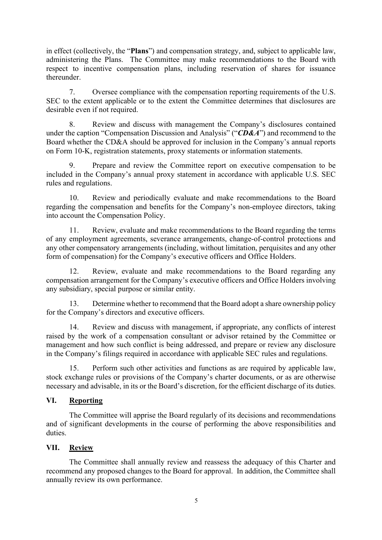in effect (collectively, the "**Plans**") and compensation strategy, and, subject to applicable law, administering the Plans. The Committee may make recommendations to the Board with respect to incentive compensation plans, including reservation of shares for issuance thereunder.

7. Oversee compliance with the compensation reporting requirements of the U.S. SEC to the extent applicable or to the extent the Committee determines that disclosures are desirable even if not required.

8. Review and discuss with management the Company's disclosures contained under the caption "Compensation Discussion and Analysis" ("*CD&A*") and recommend to the Board whether the CD&A should be approved for inclusion in the Company's annual reports on Form 10-K, registration statements, proxy statements or information statements.

9. Prepare and review the Committee report on executive compensation to be included in the Company's annual proxy statement in accordance with applicable U.S. SEC rules and regulations.

10. Review and periodically evaluate and make recommendations to the Board regarding the compensation and benefits for the Company's non-employee directors, taking into account the Compensation Policy.

11. Review, evaluate and make recommendations to the Board regarding the terms of any employment agreements, severance arrangements, change-of-control protections and any other compensatory arrangements (including, without limitation, perquisites and any other form of compensation) for the Company's executive officers and Office Holders.

12. Review, evaluate and make recommendations to the Board regarding any compensation arrangement for the Company's executive officers and Office Holders involving any subsidiary, special purpose or similar entity.

13. Determine whether to recommend that the Board adopt a share ownership policy for the Company's directors and executive officers.

14. Review and discuss with management, if appropriate, any conflicts of interest raised by the work of a compensation consultant or advisor retained by the Committee or management and how such conflict is being addressed, and prepare or review any disclosure in the Company's filings required in accordance with applicable SEC rules and regulations.

15. Perform such other activities and functions as are required by applicable law, stock exchange rules or provisions of the Company's charter documents, or as are otherwise necessary and advisable, in its or the Board's discretion, for the efficient discharge of its duties.

# **VI. Reporting**

The Committee will apprise the Board regularly of its decisions and recommendations and of significant developments in the course of performing the above responsibilities and duties.

### **VII. Review**

The Committee shall annually review and reassess the adequacy of this Charter and recommend any proposed changes to the Board for approval. In addition, the Committee shall annually review its own performance.